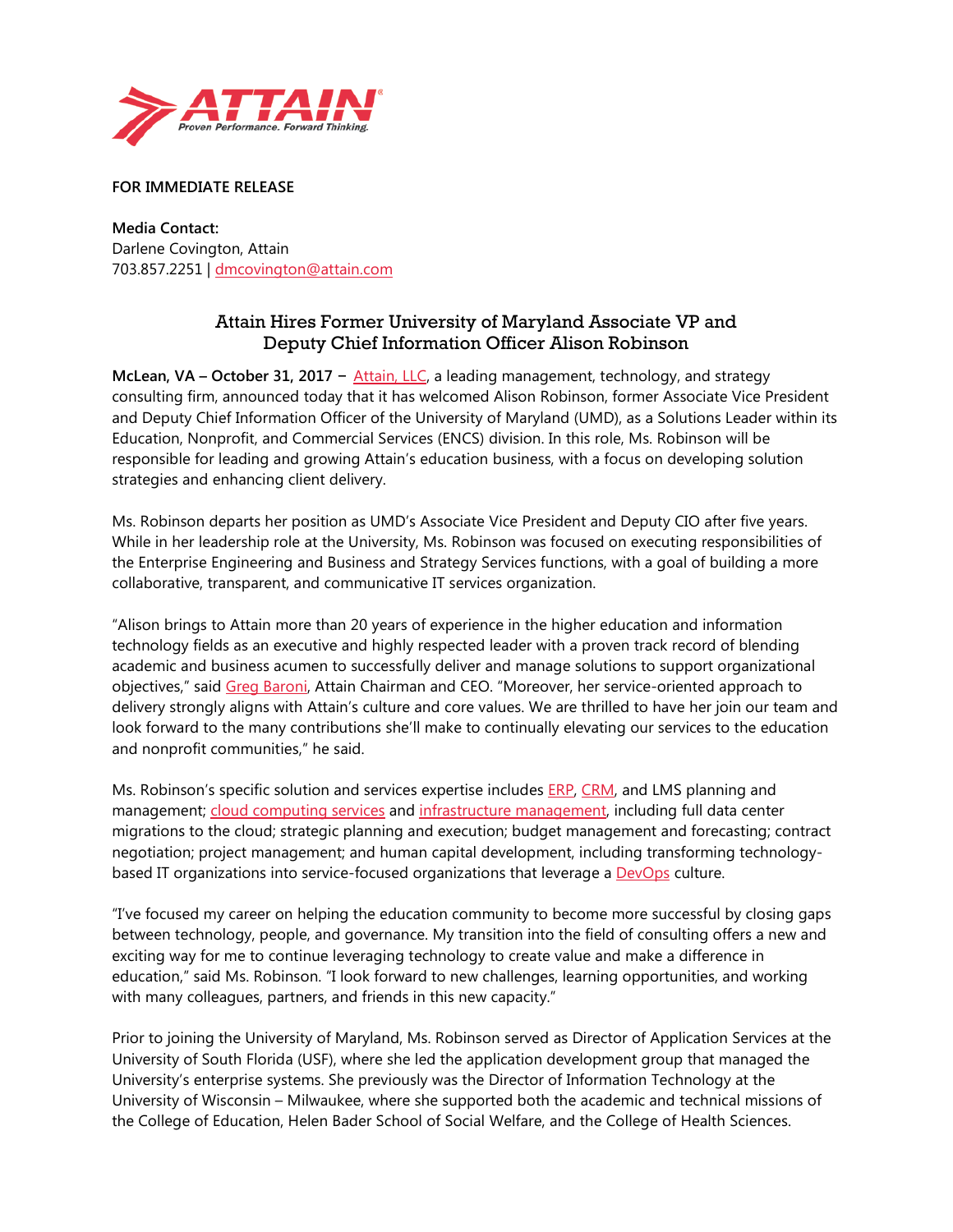

**FOR IMMEDIATE RELEASE**

**Media Contact:**  Darlene Covington, Attain 703.857.2251 | [dmcovington@attain.com](mailto:dmcovington@attain.com)

## Attain Hires Former University of Maryland Associate VP and Deputy Chief Information Officer Alison Robinson

**McLean, VA – October 31, 2017** – [Attain, LLC,](http://www.attain.com/) a leading management, technology, and strategy consulting firm, announced today that it has welcomed Alison Robinson, former Associate Vice President and Deputy Chief Information Officer of the University of Maryland (UMD), as a Solutions Leader within its Education, Nonprofit, and Commercial Services (ENCS) division. In this role, Ms. Robinson will be responsible for leading and growing Attain's education business, with a focus on developing solution strategies and enhancing client delivery.

Ms. Robinson departs her position as UMD's Associate Vice President and Deputy CIO after five years. While in her leadership role at the University, Ms. Robinson was focused on executing responsibilities of the Enterprise Engineering and Business and Strategy Services functions, with a goal of building a more collaborative, transparent, and communicative IT services organization.

"Alison brings to Attain more than 20 years of experience in the higher education and information technology fields as an executive and highly respected leader with a proven track record of blending academic and business acumen to successfully deliver and manage solutions to support organizational objectives," said [Greg Baroni,](https://www.attain.com/about-attain/leadership) Attain Chairman and CEO. "Moreover, her service-oriented approach to delivery strongly aligns with Attain's culture and core values. We are thrilled to have her join our team and look forward to the many contributions she'll make to continually elevating our services to the education and nonprofit communities," he said.

Ms. Robinson's specific solution and services expertise includes [ERP,](https://www.attain.com/services/erp-services) [CRM,](https://www.attain.com/services/crm-services) and LMS planning and management; [cloud computing services](https://www.attain.com/services/cloud-services) and [infrastructure management,](https://www.attain.com/services/infrastructure-management) including full data center migrations to the cloud; strategic planning and execution; budget management and forecasting; contract negotiation; project management; and human capital development, including transforming technologybased IT organizations into service-focused organizations that leverage a **DevOps** culture.

"I've focused my career on helping the education community to become more successful by closing gaps between technology, people, and governance. My transition into the field of consulting offers a new and exciting way for me to continue leveraging technology to create value and make a difference in education," said Ms. Robinson. "I look forward to new challenges, learning opportunities, and working with many colleagues, partners, and friends in this new capacity."

Prior to joining the University of Maryland, Ms. Robinson served as Director of Application Services at the University of South Florida (USF), where she led the application development group that managed the University's enterprise systems. She previously was the Director of Information Technology at the University of Wisconsin – Milwaukee, where she supported both the academic and technical missions of the College of Education, Helen Bader School of Social Welfare, and the College of Health Sciences.